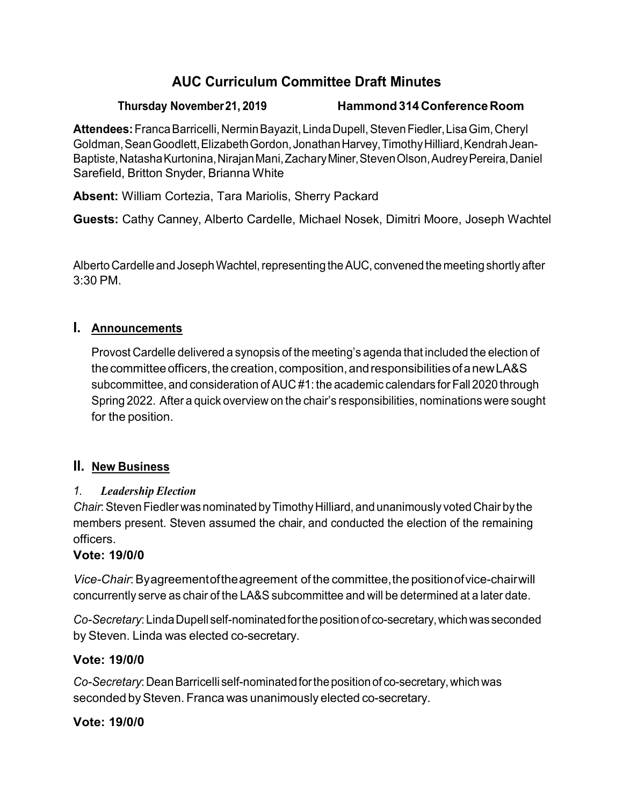# **AUC Curriculum Committee Draft Minutes**

#### **Thursday November21, 2019 Hammond314ConferenceRoom**

**Attendees:**FrancaBarricelli,NerminBayazit,LindaDupell,StevenFiedler,LisaGim,Cheryl Goldman, Sean Goodlett, Elizabeth Gordon, Jonathan Harvey, Timothy Hilliard, Kendrah Jean-Baptiste,NatashaKurtonina,NirajanMani,ZacharyMiner,StevenOlson,AudreyPereira,Daniel Sarefield, Britton Snyder, Brianna White

**Absent:** William Cortezia, Tara Mariolis, Sherry Packard

**Guests:** Cathy Canney, Alberto Cardelle, Michael Nosek, Dimitri Moore, Joseph Wachtel

Alberto Cardelle and Joseph Wachtel, representing the AUC, convened the meeting shortly after 3:30 PM.

#### **I. Announcements**

Provost Cardelle delivered a synopsis of the meeting's agenda that included the election of the committee officers, the creation, composition, and responsibilities of a new LA&S subcommittee, and consideration of AUC #1: the academic calendars for Fall 2020 through Spring 2022. After a quick overview on the chair's responsibilities, nominations were sought for the position.

#### **II. New Business**

#### *1. Leadership Election*

*Chair*:StevenFiedler was nominated byTimothy Hilliard, and unanimously votedChair by the members present. Steven assumed the chair, and conducted the election of the remaining officers.

#### **Vote: 19/0/0**

*Vice-Chair*: Byagreement of the agreement of the committee, the position of vice-chair will concurrently serve as chair of the LA&S subcommittee and will be determined at a later date.

*Co-Secretary*:LindaDupell self-nominatedforthepositionofco-secretary,whichwas seconded by Steven. Linda was elected co-secretary.

## **Vote: 19/0/0**

*Co-Secretary*:DeanBarricelli self-nominatedforthepositionof co-secretary,whichwas seconded by Steven. Franca was unanimously elected co-secretary.

## **Vote: 19/0/0**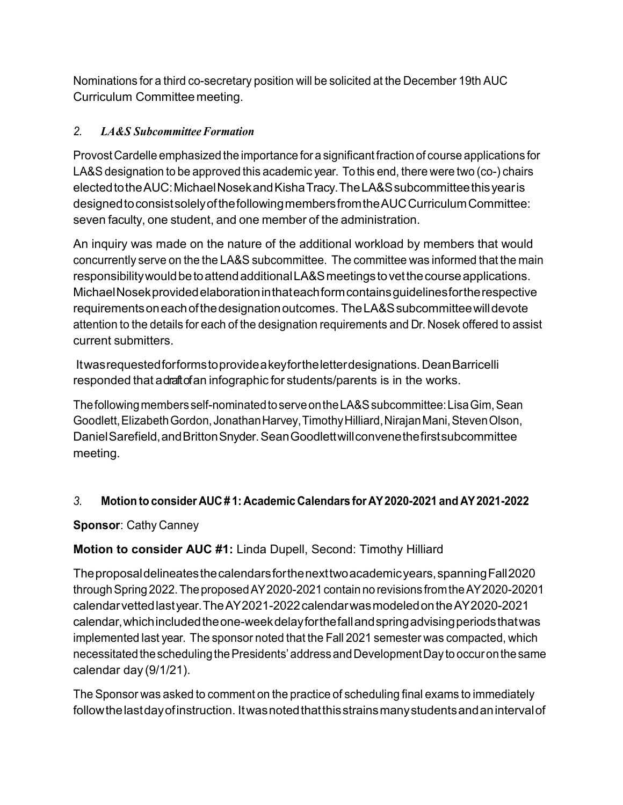Nominations for a third co-secretary position will be solicited at the December 19th AUC Curriculum Committee meeting.

#### *2. LA&S SubcommitteeFormation*

Provost Cardelle emphasized the importance for a significant fraction of course applications for LA&S designation to be approved this academic year. Tothis end, there were two (co-) chairs electedtotheAUC:MichaelNosekandKishaTracy.TheLA&Ssubcommitteethisyearis designedtoconsistsolelyofthefollowingmembersfromtheAUCCurriculumCommittee: seven faculty, one student, and one member of the administration.

An inquiry was made on the nature of the additional workload by members that would concurrently serve on the the LA&S subcommittee. The committee was informed that the main responsibilitywouldbetoattendadditionalLA&Smeetingstovetthecourseapplications. MichaelNosekprovidedelaborationinthateachformcontainsguidelinesfortherespective requirementsoneachofthedesignationoutcomes. TheLA&Ssubcommitteewilldevote attention to the details for each of the designation requirements and Dr. Nosek offered to assist current submitters.

Itwasrequestedforformstoprovideakeyfortheletterdesignations. DeanBarricelli responded that a draft of an infographic for students/parents is in the works.

Thefollowingmembersself-nominatedtoserveontheLA&Ssubcommittee:LisaGim,Sean Goodlett,ElizabethGordon,JonathanHarvey,TimothyHilliard,NirajanMani,StevenOlson, DanielSarefield,andBrittonSnyder.SeanGoodlettwillconvenethefirstsubcommittee meeting.

## *3.* **Motion to consider AUC # 1: Academic Calendars for AY2020-2021 and AY2021-2022**

## **Sponsor**: Cathy Canney

## **Motion to consider AUC #1:** Linda Dupell, Second: Timothy Hilliard

Theproposaldelineatesthecalendarsforthenexttwoacademicyears,spanningFall2020 through Spring 2022. The proposed AY 2020-2021 contain no revisions from the AY 2020-20201 calendarvettedlastyear.TheAY2021-2022calendarwasmodeledontheAY2020-2021 calendar,whichincludedtheone-weekdelayforthefallandspringadvisingperiodsthatwas implemented last year. The sponsor noted that the Fall 2021 semester was compacted, which necessitated the scheduling the Presidents' address and Development Day to occur on the same calendar day (9/1/21).

The Sponsor was asked to comment on the practice of scheduling final exams to immediately followthelastdayofinstruction. Itwasnotedthatthisstrainsmanystudentsandanintervalof